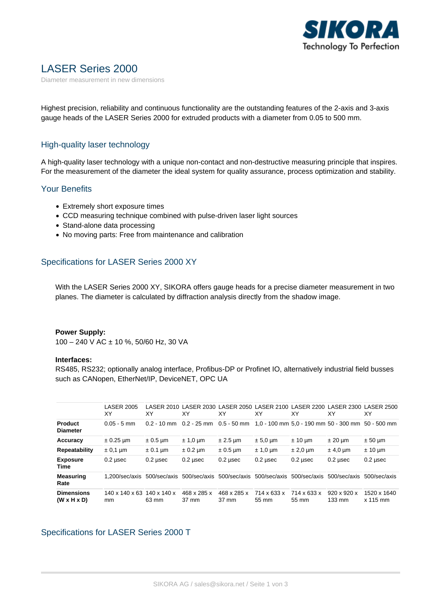

# LASER Series 2000

Diameter measurement in new dimensions

Highest precision, reliability and continuous functionality are the outstanding features of the 2-axis and 3-axis gauge heads of the LASER Series 2000 for extruded products with a diameter from 0.05 to 500 mm.

### High-quality laser technology

A high-quality laser technology with a unique non-contact and non-destructive measuring principle that inspires. For the measurement of the diameter the ideal system for quality assurance, process optimization and stability.

### Your Benefits

- Extremely short exposure times
- CCD measuring technique combined with pulse-driven laser light sources
- Stand-alone data processing
- No moving parts: Free from maintenance and calibration

# Specifications for LASER Series 2000 XY

With the LASER Series 2000 XY, SIKORA offers gauge heads for a precise diameter measurement in two planes. The diameter is calculated by diffraction analysis directly from the shadow image.

#### **Power Supply:**

100 – 240 V AC ± 10 %, 50/60 Hz, 30 VA

### **Interfaces:**

RS485, RS232; optionally analog interface, Profibus-DP or Profinet IO, alternatively industrial field busses such as CANopen, EtherNet/IP, DeviceNET, OPC UA

|                                              | <b>LASER 2005</b><br>XY          | XY                               | XY                   | XY                   | LASER 2010 LASER 2030 LASER 2050 LASER 2100 LASER 2200 LASER 2300 LASER 2500<br>ΧY | ΧY                   | ΧY                                          | XY                        |
|----------------------------------------------|----------------------------------|----------------------------------|----------------------|----------------------|------------------------------------------------------------------------------------|----------------------|---------------------------------------------|---------------------------|
| <b>Product</b><br><b>Diameter</b>            | $0.05 - 5$ mm                    | $0.2 - 10$ mm                    | 0.2 - 25 mm          |                      | $0.5 - 50$ mm $1.0 - 100$ mm $5.0 - 190$ mm $50 - 300$ mm $50 - 500$ mm            |                      |                                             |                           |
| Accuracy                                     | $\pm 0.25$ µm                    | $\pm 0.5$ µm                     | $± 1,0 \mu m$        | $\pm 2.5$ µm         | $± 5,0 \mu m$                                                                      | $± 10 \mu m$         | $± 20 \mu m$                                | $± 50 \mu m$              |
| <b>Repeatability</b>                         | $\pm$ 0,1 µm                     | $\pm$ 0.1 µm                     | $\pm$ 0.2 µm         | $\pm 0.5$ µm         | $± 1.0 \mu m$                                                                      | $± 2,0 \mu m$        | $±$ 4,0 µm                                  | $± 10 \mu m$              |
| <b>Exposure</b><br>Time                      | $0.2$ µsec                       | $0.2$ usec                       | $0.2$ usec           | $0.2$ usec           | $0.2$ µsec                                                                         | $0.2$ usec           | $0.2$ usec                                  | $0.2$ usec                |
| <b>Measuring</b><br>Rate                     | 1.200/sec/axis                   | 500/sec/axis                     |                      |                      | 500/sec/axis 500/sec/axis 500/sec/axis                                             | 500/sec/axis         | 500/sec/axis                                | 500/sec/axis              |
| <b>Dimensions</b><br>$(W \times H \times D)$ | $140 \times 140 \times 63$<br>mm | $140 \times 140 \times$<br>63 mm | 468 x 285 x<br>37 mm | 468 x 285 x<br>37 mm | 714 x 633 x<br>55 mm                                                               | 714 x 633 x<br>55 mm | $920 \times 920 \times$<br>$133 \text{ mm}$ | 1520 x 1640<br>$x$ 115 mm |

# Specifications for LASER Series 2000 T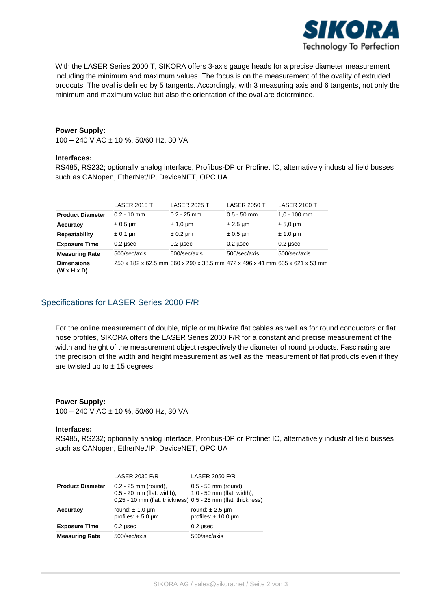

With the LASER Series 2000 T, SIKORA offers 3-axis gauge heads for a precise diameter measurement including the minimum and maximum values. The focus is on the measurement of the ovality of extruded prodcuts. The oval is defined by 5 tangents. Accordingly, with 3 measuring axis and 6 tangents, not only the minimum and maximum value but also the orientation of the oval are determined.

#### **Power Supply:**

100 – 240 V AC ± 10 %, 50/60 Hz, 30 VA

#### **Interfaces:**

RS485, RS232; optionally analog interface, Profibus-DP or Profinet IO, alternatively industrial field busses such as CANopen, EtherNet/IP, DeviceNET, OPC UA

|                                              | <b>LASER 2010 T</b> | <b>LASER 2025 T</b>                                                         | <b>LASER 2050 T</b> | <b>LASER 2100 T</b>          |
|----------------------------------------------|---------------------|-----------------------------------------------------------------------------|---------------------|------------------------------|
| <b>Product Diameter</b>                      | $0.2 - 10$ mm       | $0.2 - 25$ mm                                                               | $0.5 - 50$ mm       | $1.0 - 100$ mm               |
| Accuracy                                     | $\pm 0.5$ µm        | $± 1,0 \mu m$                                                               | $± 2.5 \mu m$       | $\pm 5.0 \,\mathrm{\upmu m}$ |
| Repeatability                                | $\pm$ 0.1 µm        | $\pm$ 0.2 µm                                                                | $\pm 0.5$ µm        | $± 1.0 \mu m$                |
| <b>Exposure Time</b>                         | $0.2$ usec          | $0.2$ usec                                                                  | $0.2$ usec          | $0.2$ usec                   |
| <b>Measuring Rate</b>                        | 500/sec/axis        | 500/sec/axis                                                                | 500/sec/axis        | 500/sec/axis                 |
| <b>Dimensions</b><br>$(W \times H \times D)$ |                     | 250 x 182 x 62.5 mm 360 x 290 x 38.5 mm 472 x 496 x 41 mm 635 x 621 x 53 mm |                     |                              |

# Specifications for LASER Series 2000 F/R

For the online measurement of double, triple or multi-wire flat cables as well as for round conductors or flat hose profiles, SIKORA offers the LASER Series 2000 F/R for a constant and precise measurement of the width and height of the measurement object respectively the diameter of round products. Fascinating are the precision of the width and height measurement as well as the measurement of flat products even if they are twisted up to  $\pm$  15 degrees.

#### **Power Supply:**

100 – 240 V AC ± 10 %, 50/60 Hz, 30 VA

#### **Interfaces:**

RS485, RS232; optionally analog interface, Profibus-DP or Profinet IO, alternatively industrial field busses such as CANopen, EtherNet/IP, DeviceNET, OPC UA

|                         | <b>LASER 2030 F/R</b>                                                                                                    | <b>LASER 2050 F/R</b>                                |  |
|-------------------------|--------------------------------------------------------------------------------------------------------------------------|------------------------------------------------------|--|
| <b>Product Diameter</b> | $0.2 - 25$ mm (round),<br>0.5 - 20 mm (flat: width),<br>$0,25 - 10$ mm (flat: thickness) $0.5 - 25$ mm (flat: thickness) | $0.5 - 50$ mm (round).<br>1,0 - 50 mm (flat: width), |  |
| Accuracy                | round: $\pm$ 1,0 µm<br>profiles: $\pm$ 5,0 µm                                                                            | round: $\pm 2.5$ µm<br>profiles: $\pm$ 10,0 µm       |  |
| <b>Exposure Time</b>    | $0.2$ usec                                                                                                               | $0.2$ µsec                                           |  |
| <b>Measuring Rate</b>   | 500/sec/axis                                                                                                             | 500/sec/axis                                         |  |